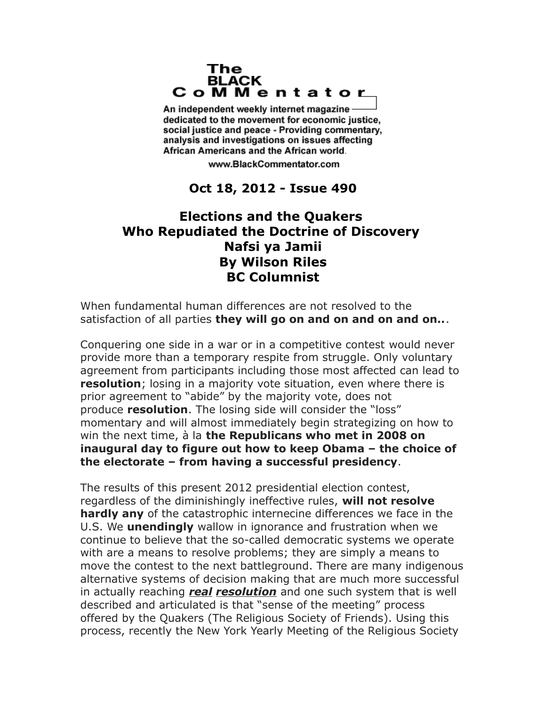## The **BLACK** CoMMentator

An independent weekly internet magazine dedicated to the movement for economic justice. social justice and peace - Providing commentary, analysis and investigations on issues affecting African Americans and the African world.

www.BlackCommentator.com

## **Oct 18, 2012 - Issue 490**

## **Elections and the Quakers Who Repudiated the Doctrine of Discovery Nafsi ya Jamii By Wilson Riles BC Columnist**

When fundamental human differences are not resolved to the satisfaction of all parties **they will go on and on and on and on..**.

Conquering one side in a war or in a competitive contest would never provide more than a temporary respite from struggle. Only voluntary agreement from participants including those most affected can lead to **resolution**; losing in a majority vote situation, even where there is prior agreement to "abide" by the majority vote, does not produce **resolution**. The losing side will consider the "loss" momentary and will almost immediately begin strategizing on how to win the next time, à la **the Republicans who met in 2008 on inaugural day to figure out how to keep Obama – the choice of the electorate – from having a successful presidency**.

The results of this present 2012 presidential election contest, regardless of the diminishingly ineffective rules, **will not resolve hardly any** of the catastrophic internecine differences we face in the U.S. We **unendingly** wallow in ignorance and frustration when we continue to believe that the so-called democratic systems we operate with are a means to resolve problems; they are simply a means to move the contest to the next battleground. There are many indigenous alternative systems of decision making that are much more successful in actually reaching *real resolution* and one such system that is well described and articulated is that "sense of the meeting" process offered by the Quakers (The Religious Society of Friends). Using this process, recently the New York Yearly Meeting of the Religious Society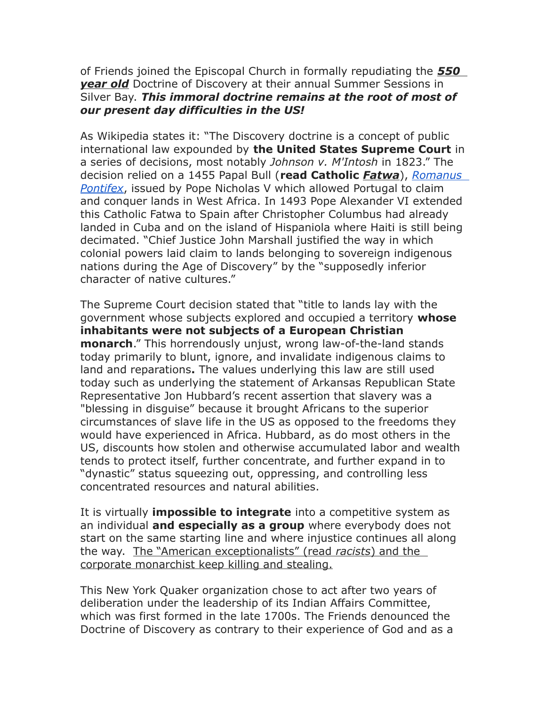of Friends joined the Episcopal Church in formally repudiating the *550 year old* Doctrine of Discovery at their annual Summer Sessions in Silver Bay. *This immoral doctrine remains at the root of most of our present day difficulties in the US!*

As Wikipedia states it: "The Discovery doctrine is a concept of public international law expounded by **the United States Supreme Court** in a series of decisions, most notably *Johnson v. M'Intosh* in 1823." The decision relied on a 1455 Papal Bull (**read Catholic** *Fatwa*), *[Romanus](http://en.wikipedia.org/wiki/Romanus_Pontifex)  [Pontifex](http://en.wikipedia.org/wiki/Romanus_Pontifex)*, issued by Pope Nicholas V which allowed Portugal to claim and conquer lands in West Africa. In 1493 Pope Alexander VI extended this Catholic Fatwa to Spain after Christopher Columbus had already landed in Cuba and on the island of Hispaniola where Haiti is still being decimated. "Chief Justice John Marshall justified the way in which colonial powers laid claim to lands belonging to sovereign indigenous nations during the Age of Discovery" by the "supposedly inferior character of native cultures."

The Supreme Court decision stated that "title to lands lay with the government whose subjects explored and occupied a territory **whose inhabitants were not subjects of a European Christian monarch**." This horrendously unjust, wrong law-of-the-land stands today primarily to blunt, ignore, and invalidate indigenous claims to land and reparations**.** The values underlying this law are still used today such as underlying the statement of Arkansas Republican State Representative Jon Hubbard's recent assertion that slavery was a "blessing in disguise" because it brought Africans to the superior circumstances of slave life in the US as opposed to the freedoms they would have experienced in Africa. Hubbard, as do most others in the US, discounts how stolen and otherwise accumulated labor and wealth tends to protect itself, further concentrate, and further expand in to "dynastic" status squeezing out, oppressing, and controlling less concentrated resources and natural abilities.

It is virtually **impossible to integrate** into a competitive system as an individual **and especially as a group** where everybody does not start on the same starting line and where injustice continues all along the way. The "American exceptionalists" (read *racists* ) and the corporate monarchist keep killing and stealing.

This New York Quaker organization chose to act after two years of deliberation under the leadership of its Indian Affairs Committee, which was first formed in the late 1700s. The Friends denounced the Doctrine of Discovery as contrary to their experience of God and as a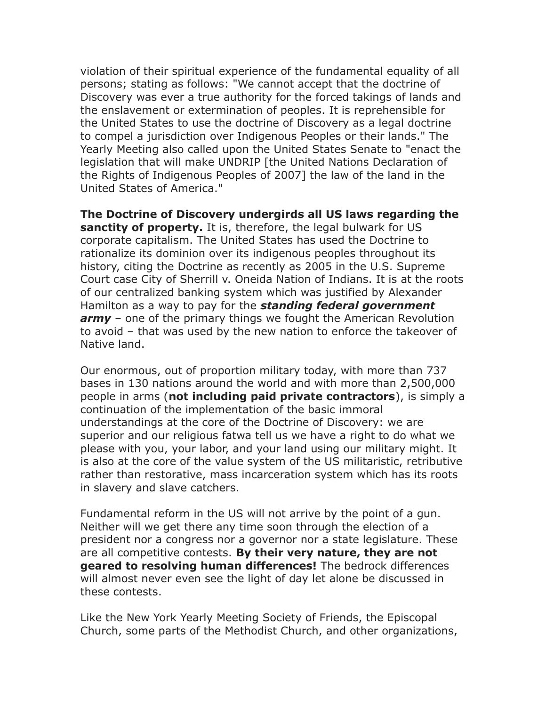violation of their spiritual experience of the fundamental equality of all persons; stating as follows: "We cannot accept that the doctrine of Discovery was ever a true authority for the forced takings of lands and the enslavement or extermination of peoples. It is reprehensible for the United States to use the doctrine of Discovery as a legal doctrine to compel a jurisdiction over Indigenous Peoples or their lands." The Yearly Meeting also called upon the United States Senate to "enact the legislation that will make UNDRIP [the United Nations Declaration of the Rights of Indigenous Peoples of 2007] the law of the land in the United States of America."

**The Doctrine of Discovery undergirds all US laws regarding the sanctity of property.** It is, therefore, the legal bulwark for US corporate capitalism. The United States has used the Doctrine to rationalize its dominion over its indigenous peoples throughout its history, citing the Doctrine as recently as 2005 in the U.S. Supreme Court case City of Sherrill v. Oneida Nation of Indians. It is at the roots of our centralized banking system which was justified by Alexander Hamilton as a way to pay for the *standing federal government army* – one of the primary things we fought the American Revolution to avoid – that was used by the new nation to enforce the takeover of Native land.

Our enormous, out of proportion military today, with more than 737 bases in 130 nations around the world and with more than 2,500,000 people in arms (**not including paid private contractors**), is simply a continuation of the implementation of the basic immoral understandings at the core of the Doctrine of Discovery: we are superior and our religious fatwa tell us we have a right to do what we please with you, your labor, and your land using our military might. It is also at the core of the value system of the US militaristic, retributive rather than restorative, mass incarceration system which has its roots in slavery and slave catchers.

Fundamental reform in the US will not arrive by the point of a gun. Neither will we get there any time soon through the election of a president nor a congress nor a governor nor a state legislature. These are all competitive contests. **By their very nature, they are not geared to resolving human differences!** The bedrock differences will almost never even see the light of day let alone be discussed in these contests.

Like the New York Yearly Meeting Society of Friends, the Episcopal Church, some parts of the Methodist Church, and other organizations,